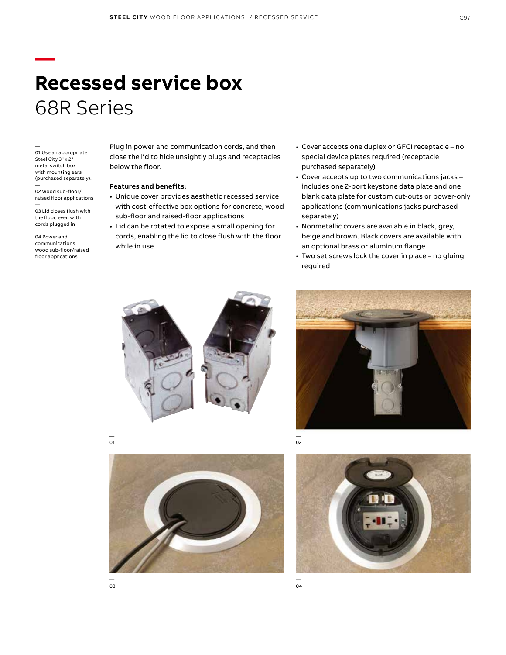# **Recessed service box** 68R Series

— 01 Use an appropriate Steel City 3" x 2" metal switch box with mounting ears (purchased separately). —

**—**

02 Wood sub-floor/ raised floor applications

— 03 Lid closes flush with the floor, even with cords plugged in

— 04 Power and communications wood sub-floor/raised floor applications

Plug in power and communication cords, and then close the lid to hide unsightly plugs and receptacles below the floor.

#### **Features and benefits:**

- Unique cover provides aesthetic recessed service with cost-effective box options for concrete, wood sub-floor and raised-floor applications
- Lid can be rotated to expose a small opening for cords, enabling the lid to close flush with the floor while in use
- Cover accepts one duplex or GFCI receptacle no special device plates required (receptacle purchased separately)
- Cover accepts up to two communications jacks includes one 2-port keystone data plate and one blank data plate for custom cut-outs or power-only applications (communications jacks purchased separately)
- Nonmetallic covers are available in black, grey, beige and brown. Black covers are available with an optional brass or aluminum flange
- Two set screws lock the cover in place no gluing required









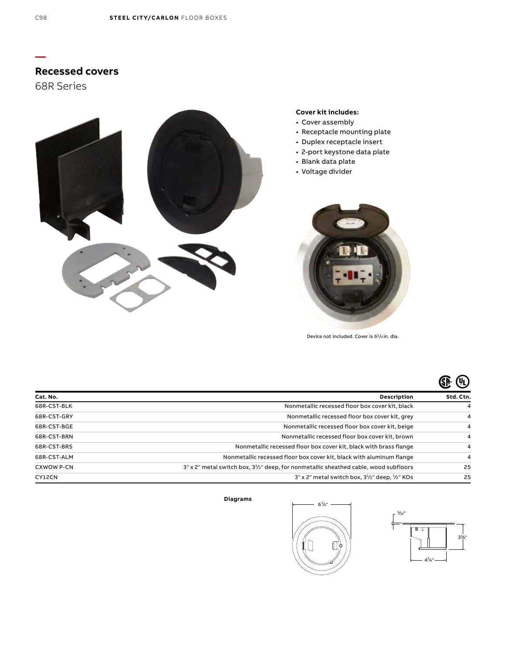# **Recessed covers**

68R Series



#### **Cover kit includes:**

- Cover assembly
- Receptacle mounting plate
- Duplex receptacle insert
- 2-port keystone data plate
- Blank data plate
- Voltage divider



Device not included. Cover is 63/4 in. dia.

| Cat. No.          | <b>Description</b>                                                                       | Std. Ctn. |
|-------------------|------------------------------------------------------------------------------------------|-----------|
| 68R-CST-BLK       | Nonmetallic recessed floor box cover kit, black                                          | 4         |
| 68R-CST-GRY       | Nonmetallic recessed floor box cover kit, grey                                           | 4         |
| 68R-CST-BGE       | Nonmetallic recessed floor box cover kit, beige                                          | 4         |
| 68R-CST-BRN       | Nonmetallic recessed floor box cover kit, brown                                          | 4         |
| 68R-CST-BRS       | Nonmetallic recessed floor box cover kit, black with brass flange                        | 4         |
| 68R-CST-ALM       | Nonmetallic recessed floor box cover kit, black with aluminum flange                     | 4         |
| <b>CXWOW P-CN</b> | $3"$ x 2" metal switch box, $31z$ " deep, for nonmetallic sheathed cable, wood subfloors | 25        |
| CY12CN            | $3"$ x 2" metal switch box, $3\frac{1}{2}$ " deep, $\frac{1}{2}$ " KOs                   | 25        |

#### **Diagrams**





**—**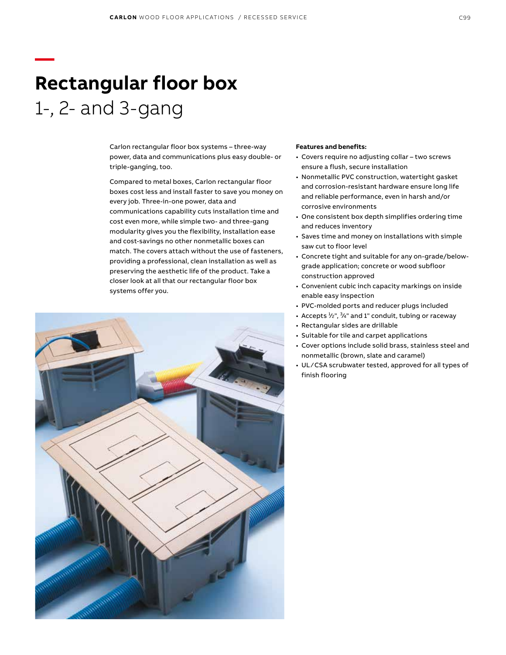# **Rectangular floor box** 1-, 2- and 3-gang

**—**

Carlon rectangular floor box systems – three-way power, data and communications plus easy double- or triple-ganging, too.

Compared to metal boxes, Carlon rectangular floor boxes cost less and install faster to save you money on every job. Three-in-one power, data and communications capability cuts installation time and cost even more, while simple two- and three-gang modularity gives you the flexibility, installation ease and cost-savings no other nonmetallic boxes can match. The covers attach without the use of fasteners, providing a professional, clean installation as well as preserving the aesthetic life of the product. Take a closer look at all that our rectangular floor box systems offer you.



#### **Features and benefits:**

- Covers require no adjusting collar two screws ensure a flush, secure installation
- Nonmetallic PVC construction, watertight gasket and corrosion-resistant hardware ensure long life and reliable performance, even in harsh and/or corrosive environments
- One consistent box depth simplifies ordering time and reduces inventory
- Saves time and money on installations with simple saw cut to floor level
- Concrete tight and suitable for any on-grade/belowgrade application; concrete or wood subfloor construction approved
- Convenient cubic inch capacity markings on inside enable easy inspection
- PVC-molded ports and reducer plugs included
- Accepts  $\frac{1}{2}$ ",  $\frac{3}{4}$ " and 1" conduit, tubing or raceway
- Rectangular sides are drillable
- Suitable for tile and carpet applications
- Cover options include solid brass, stainless steel and nonmetallic (brown, slate and caramel)
- UL ⁄ CSA scrubwater tested, approved for all types of finish flooring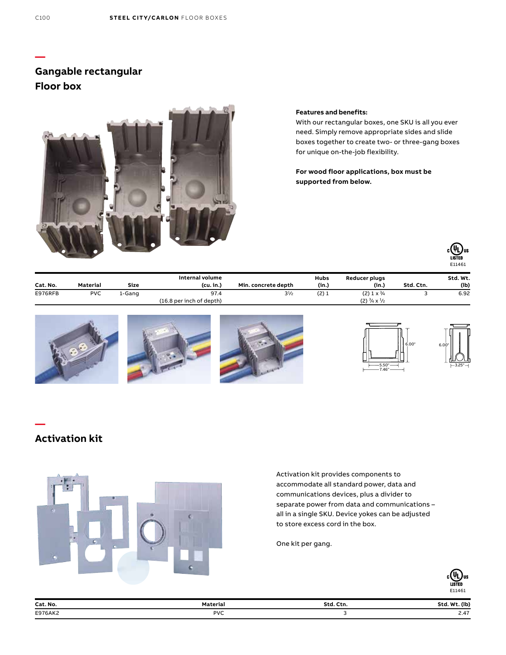## **Gangable rectangular Floor box**



#### **Features and benefits:**

With our rectangular boxes, one SKU is all you ever need. Simply remove appropriate sides and slide boxes together to create two- or three-gang boxes for unique on-the-job flexibility.

**For wood floor applications, box must be supported from below.**



6.00"

3.25"

| Cat. No. | Material   | Size   | Internal volume<br>(cu, in.) | Min. concrete depth | Hubs<br>(in.) | Reducer plugs<br>(in.)               | Std. Ctn. | Std. Wt.<br>(Ib) |
|----------|------------|--------|------------------------------|---------------------|---------------|--------------------------------------|-----------|------------------|
| E976RFB  | <b>PVC</b> | L-Gang | 97.4                         | $3^{1/2}$           | (2)1          | $(2)$ 1 x $\frac{3}{4}$              |           | 6.92             |
|          |            |        | (16.8 per inch of depth)     |                     |               | $(2) \frac{3}{4} \times \frac{1}{2}$ |           |                  |



## **Activation kit**

**—**



Activation kit provides components to accommodate all standard power, data and communications devices, plus a divider to separate power from data and communications – all in a single SKU. Device yokes can be adjusted to store excess cord in the box.

One kit per gang.



| Cat. No. | Materia                 | Std      |                                 |
|----------|-------------------------|----------|---------------------------------|
|          | erial                   | Ctn.     | <b>MAJA</b>                     |
|          | .                       | -------- | $- - - -$                       |
|          |                         |          | $\overline{\phantom{a}}$        |
| E976AK2  | <b>PVC</b>              |          | $\sim$ .4.                      |
|          | $\cdot$ $\cdot$ $\cdot$ |          | the contract of the contract of |

**—**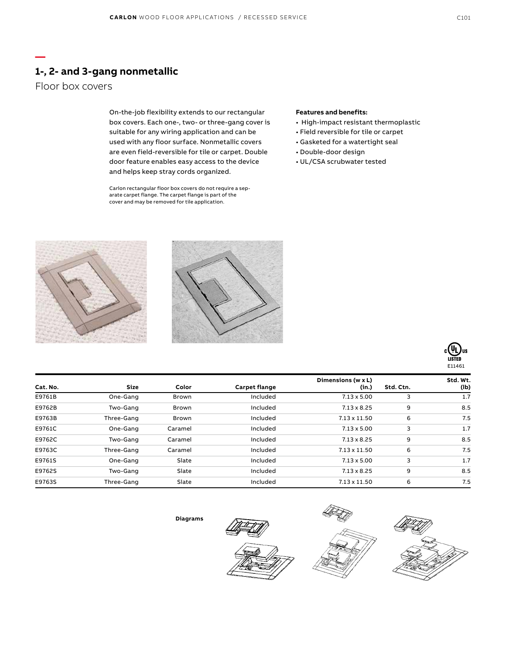## **1-, 2- and 3-gang nonmetallic**

## Floor box covers

**—**

On-the-job flexibility extends to our rectangular box covers. Each one-, two- or three-gang cover is suitable for any wiring application and can be used with any floor surface. Nonmetallic covers are even field-reversible for tile or carpet. Double door feature enables easy access to the device and helps keep stray cords organized.

Carlon rectangular floor box covers do not require a separate carpet flange. The carpet flange is part of the cover and may be removed for tile application.

### **Features and benefits:**

- High-impact resistant thermoplastic
- Field reversible for tile or carpet
- Gasketed for a watertight seal
- Double-door design
- UL/CSA scrubwater tested







|          |             |              |               | Dimensions (w x L)  |           | Std. Wt. |
|----------|-------------|--------------|---------------|---------------------|-----------|----------|
| Cat. No. | <b>Size</b> | Color        | Carpet flange | (in.)               | Std. Ctn. | (lb)     |
| E9761B   | One-Gang    | <b>Brown</b> | Included      | $7.13 \times 5.00$  | 3         | 1.7      |
| E9762B   | Two-Gang    | <b>Brown</b> | Included      | $7.13 \times 8.25$  | 9         | 8.5      |
| E9763B   | Three-Gang  | <b>Brown</b> | Included      | $7.13 \times 11.50$ | 6         | 7.5      |
| E9761C   | One-Gang    | Caramel      | Included      | $7.13 \times 5.00$  | 3         | 1.7      |
| E9762C   | Two-Gang    | Caramel      | Included      | $7.13 \times 8.25$  | 9         | 8.5      |
| E9763C   | Three-Gang  | Caramel      | Included      | $7.13 \times 11.50$ | 6         | 7.5      |
| E9761S   | One-Gang    | Slate        | Included      | $7.13 \times 5.00$  | 3         | 1.7      |
| E9762S   | Two-Gang    | Slate        | Included      | $7.13 \times 8.25$  | 9         | 8.5      |
| E9763S   | Three-Gang  | Slate        | Included      | $7.13 \times 11.50$ | 6         | 7.5      |

**Diagrams**